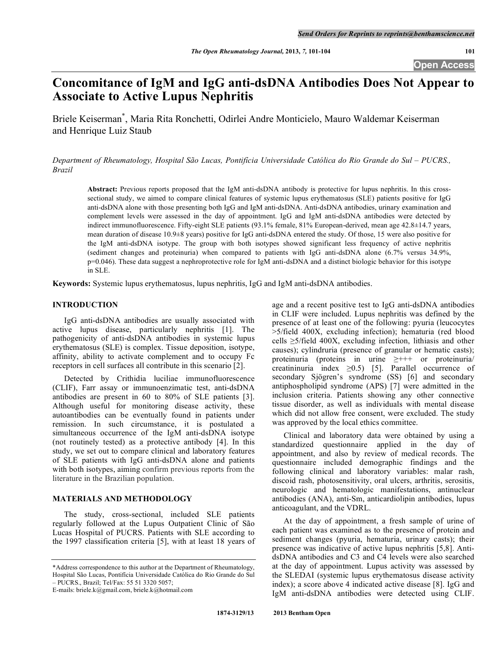# **Concomitance of IgM and IgG anti-dsDNA Antibodies Does Not Appear to Associate to Active Lupus Nephritis**

Briele Keiserman\* , Maria Rita Ronchetti, Odirlei Andre Monticielo, Mauro Waldemar Keiserman and Henrique Luiz Staub

*Department of Rheumatology, Hospital São Lucas, Pontifícia Universidade Católica do Rio Grande do Sul – PUCRS., Brazil*

**Abstract:** Previous reports proposed that the IgM anti-dsDNA antibody is protective for lupus nephritis. In this crosssectional study, we aimed to compare clinical features of systemic lupus erythematosus (SLE) patients positive for IgG anti-dsDNA alone with those presenting both IgG and IgM anti-dsDNA. Anti-dsDNA antibodies, urinary examination and complement levels were assessed in the day of appointment. IgG and IgM anti-dsDNA antibodies were detected by indirect immunofluorescence. Fifty-eight SLE patients (93.1% female, 81% European-derived, mean age 42.8±14.7 years, mean duration of disease 10.9±8 years) positive for IgG anti-dsDNA entered the study. Of those, 15 were also positive for the IgM anti-dsDNA isotype. The group with both isotypes showed significant less frequency of active nephritis (sediment changes and proteinuria) when compared to patients with IgG anti-dsDNA alone (6.7% versus 34.9%, p=0.046). These data suggest a nephroprotective role for IgM anti-dsDNA and a distinct biologic behavior for this isotype in SLE.

**Keywords:** Systemic lupus erythematosus, lupus nephritis, IgG and IgM anti-dsDNA antibodies.

# **INTRODUCTION**

IgG anti-dsDNA antibodies are usually associated with active lupus disease, particularly nephritis [1]. The pathogenicity of anti-dsDNA antibodies in systemic lupus erythematosus (SLE) is complex. Tissue deposition, isotype, affinity, ability to activate complement and to occupy Fc receptors in cell surfaces all contribute in this scenario [2].

Detected by Crithidia luciliae immunofluorescence (CLIF), Farr assay or immunoenzimatic test, anti-dsDNA antibodies are present in 60 to 80% of SLE patients [3]. Although useful for monitoring disease activity, these autoantibodies can be eventually found in patients under remission. In such circumstance, it is postulated a simultaneous occurrence of the IgM anti-dsDNA isotype (not routinely tested) as a protective antibody [4]. In this study, we set out to compare clinical and laboratory features of SLE patients with IgG anti-dsDNA alone and patients with both isotypes, aiming confirm previous reports from the literature in the Brazilian population.

### **MATERIALS AND METHODOLOGY**

The study, cross-sectional, included SLE patients regularly followed at the Lupus Outpatient Clinic of São Lucas Hospital of PUCRS. Patients with SLE according to the 1997 classification criteria [5], with at least 18 years of age and a recent positive test to IgG anti-dsDNA antibodies in CLIF were included. Lupus nephritis was defined by the presence of at least one of the following: pyuria (leucocytes >5/field 400X, excluding infection); hematuria (red blood cells ≥5/field 400X, excluding infection, lithiasis and other causes); cylindruria (presence of granular or hematic casts); proteinuria (proteins in urine ≥+++ or proteinuria/ creatininuria index  $\geq 0.5$  [5]. Parallel occurrence of secondary Sjögren's syndrome (SS) [6] and secondary antiphospholipid syndrome (APS) [7] were admitted in the inclusion criteria. Patients showing any other connective tissue disorder, as well as individuals with mental disease which did not allow free consent, were excluded. The study was approved by the local ethics committee.

Clinical and laboratory data were obtained by using a standardized questionnaire applied in the day of appointment, and also by review of medical records. The questionnaire included demographic findings and the following clinical and laboratory variables: malar rash, discoid rash, photosensitivity, oral ulcers, arthritis, serositis, neurologic and hematologic manifestations, antinuclear antibodies (ANA), anti-Sm, anticardiolipin antibodies, lupus anticoagulant, and the VDRL.

At the day of appointment, a fresh sample of urine of each patient was examined as to the presence of protein and sediment changes (pyuria, hematuria, urinary casts); their presence was indicative of active lupus nephritis [5,8]. AntidsDNA antibodies and C3 and C4 levels were also searched at the day of appointment. Lupus activity was assessed by the SLEDAI (systemic lupus erythematosus disease activity index); a score above 4 indicated active disease [8]. IgG and IgM anti-dsDNA antibodies were detected using CLIF.

<sup>\*</sup>Address correspondence to this author at the Department of Rheumatology, Hospital São Lucas, Pontifícia Universidade Católica do Rio Grande do Sul – PUCRS., Brazil; Tel/Fax: 55 51 3320 5057;

E-mails: briele.k@gmail.com, briele.k@hotmail.com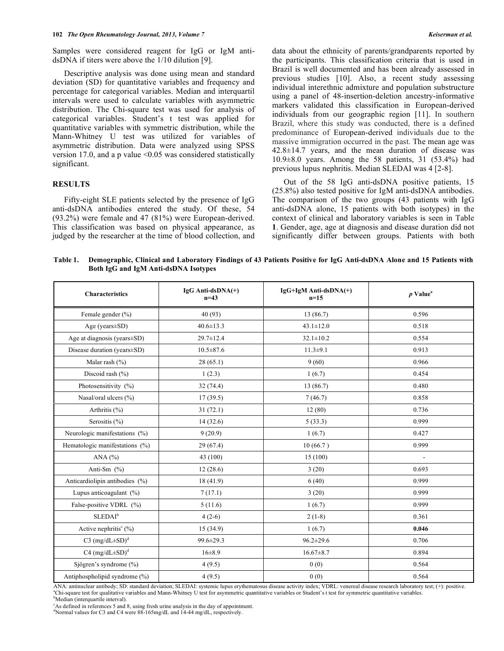Samples were considered reagent for IgG or IgM antidsDNA if titers were above the 1/10 dilution [9].

Descriptive analysis was done using mean and standard deviation (SD) for quantitative variables and frequency and percentage for categorical variables. Median and interquartil intervals were used to calculate variables with asymmetric distribution. The Chi-square test was used for analysis of categorical variables. Student's t test was applied for quantitative variables with symmetric distribution, while the Mann-Whitney U test was utilized for variables of asymmetric distribution. Data were analyzed using SPSS version 17.0, and a p value  $\leq 0.05$  was considered statistically significant.

#### **RESULTS**

Fifty-eight SLE patients selected by the presence of IgG anti-dsDNA antibodies entered the study. Of these, 54 (93.2%) were female and 47 (81%) were European-derived. This classification was based on physical appearance, as judged by the researcher at the time of blood collection, and data about the ethnicity of parents/grandparents reported by the participants. This classification criteria that is used in Brazil is well documented and has been already assessed in previous studies [10]. Also, a recent study assessing individual interethnic admixture and population substructure using a panel of 48-insertion-deletion ancestry-informative markers validated this classification in European-derived individuals from our geographic region [11]. In southern Brazil, where this study was conducted, there is a defined predominance of European-derived individuals due to the massive immigration occurred in the past. The mean age was 42.8±14.7 years, and the mean duration of disease was 10.9±8.0 years. Among the 58 patients, 31 (53.4%) had previous lupus nephritis. Median SLEDAI was 4 [2-8].

Out of the 58 IgG anti-dsDNA positive patients, 15 (25.8%) also tested positive for IgM anti-dsDNA antibodies. The comparison of the two groups (43 patients with IgG anti-dsDNA alone, 15 patients with both isotypes) in the context of clinical and laboratory variables is seen in Table **1**. Gender, age, age at diagnosis and disease duration did not significantly differ between groups. Patients with both

**Table 1. Demographic, Clinical and Laboratory Findings of 43 Patients Positive for IgG Anti-dsDNA Alone and 15 Patients with Both IgG and IgM Anti-dsDNA Isotypes**

| <b>Characteristics</b>                                    | IgG Anti-dsDNA(+)<br>$n=43$ | $IgG+IgM$ Anti-dsDNA(+)<br>$n=15$                                                                                                                                               | $p$ Value <sup>a</sup>   |
|-----------------------------------------------------------|-----------------------------|---------------------------------------------------------------------------------------------------------------------------------------------------------------------------------|--------------------------|
| Female gender $(\% )$                                     | 40(93)                      | 13(86.7)                                                                                                                                                                        | 0.596                    |
| Age ( $years \pm SD$ )                                    | $40.6 \pm 13.3$             | $43.1 \pm 12.0$                                                                                                                                                                 | 0.518                    |
| Age at diagnosis (years $\pm$ SD)                         | $29.7 \pm 12.4$             | $32.1 \pm 10.2$                                                                                                                                                                 | 0.554                    |
| Disease duration (years±SD)                               | $10.5 \pm 87.6$             | $11.3 \pm 9.1$                                                                                                                                                                  | 0.913                    |
| Malar rash (%)                                            | 28(65.1)                    | 9(60)                                                                                                                                                                           | 0.966                    |
| Discoid rash $(\% )$                                      | 1(2.3)                      | 1(6.7)                                                                                                                                                                          | 0.454                    |
| Photosensitivity (%)                                      | 32(74.4)                    | 13 (86.7)                                                                                                                                                                       | 0.480                    |
| Nasal/oral ulcers (%)                                     | 17(39.5)                    | 7(46.7)                                                                                                                                                                         | 0.858                    |
| Arthritis $(\% )$                                         | 31(72.1)                    | 12(80)                                                                                                                                                                          | 0.736                    |
| Serositis $(\% )$                                         | 14(32.6)                    | 5(33.3)                                                                                                                                                                         | 0.999                    |
| Neurologic manifestations (%)                             | 9(20.9)                     | 1(6.7)                                                                                                                                                                          | 0.427                    |
| Hematologic manifestations (%)                            | 29(67.4)                    | 10(66.7)                                                                                                                                                                        | 0.999                    |
| ANA $(%)$                                                 | 43 (100)                    | 15(100)                                                                                                                                                                         | $\overline{\phantom{a}}$ |
| Anti-Sm $(\% )$                                           | 12(28.6)                    | 3(20)                                                                                                                                                                           | 0.693                    |
| Anticardiolipin antibodies (%)                            | 18 (41.9)                   | 6(40)                                                                                                                                                                           | 0.999                    |
| Lupus anticoagulant $(\%)$                                | 7(17.1)                     | 3(20)                                                                                                                                                                           | 0.999                    |
| False-positive VDRL (%)                                   | 5(11.6)                     | 1(6.7)                                                                                                                                                                          | 0.999                    |
| $\operatorname{SLEDAI}^{\rm b}$                           | $4(2-6)$                    | $2(1-8)$                                                                                                                                                                        | 0.361                    |
| Active nephritis <sup><math>\mathfrak{c}</math></sup> (%) | 15(34.9)                    | 1(6.7)                                                                                                                                                                          | 0.046                    |
| C3 $(mg/dL \pm SD)^d$                                     | 99.6±29.3                   | $96.2 \pm 29.6$                                                                                                                                                                 | 0.706                    |
| $C4 (mg/dL \pm SD)^d$                                     | $16 + 8.9$                  | $16.67 \pm 8.7$                                                                                                                                                                 | 0.894                    |
| Sjögren's syndrome (%)                                    | 4(9.5)                      | 0(0)                                                                                                                                                                            | 0.564                    |
| Antiphospholipid syndrome (%)                             | 4(9.5)                      | 0(0)                                                                                                                                                                            | 0.564                    |
|                                                           |                             | ANA; antinuclear antibody; SD; standard deviation; SLEDAI; systemic lupus erythematosus disease activity index; VDRL; venereal disease research laboratory test; (+); positive. |                          |

ANA: antinuclear antibody; SD: standard deviation; SLEDAI: systemic lupus erythematosus disease activity index; VDRL: venereal disease research laboratory test; (+): positive.<br>\*Chi-square test for qualitative variables and <sup>b</sup>Median (interquartile interval).

<sup>c</sup>As defined in references 5 and 8, using fresh urine analysis in the day of appointment.

<sup>d</sup>Normal values for C3 and C4 were 88-165mg/dL and 14-44 mg/dL, respectively.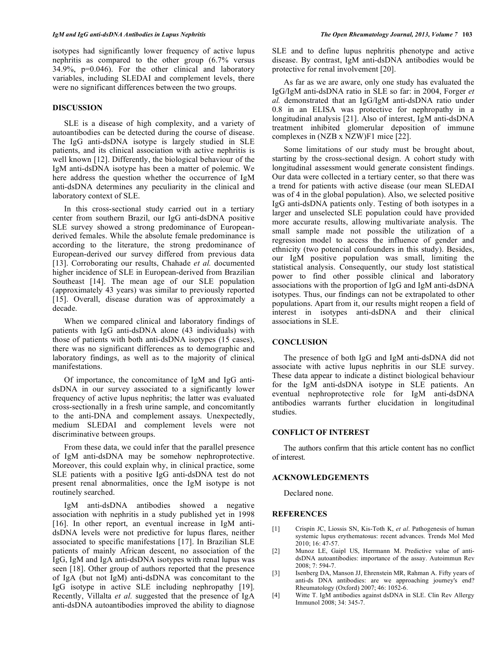isotypes had significantly lower frequency of active lupus nephritis as compared to the other group (6.7% versus 34.9%, p=0.046). For the other clinical and laboratory variables, including SLEDAI and complement levels, there were no significant differences between the two groups.

#### **DISCUSSION**

SLE is a disease of high complexity, and a variety of autoantibodies can be detected during the course of disease. The IgG anti-dsDNA isotype is largely studied in SLE patients, and its clinical association with active nephritis is well known [12]. Differently, the biological behaviour of the IgM anti-dsDNA isotype has been a matter of polemic. We here address the question whether the occurrence of IgM anti-dsDNA determines any peculiarity in the clinical and laboratory context of SLE.

In this cross-sectional study carried out in a tertiary center from southern Brazil, our IgG anti-dsDNA positive SLE survey showed a strong predominance of Europeanderived females. While the absolute female predominance is according to the literature, the strong predominance of European-derived our survey differed from previous data [13]. Corroborating our results, Chahade *et al.* documented higher incidence of SLE in European-derived from Brazilian Southeast [14]. The mean age of our SLE population (approximately 43 years) was similar to previously reported [15]. Overall, disease duration was of approximately a decade.

When we compared clinical and laboratory findings of patients with IgG anti-dsDNA alone (43 individuals) with those of patients with both anti-dsDNA isotypes (15 cases), there was no significant differences as to demographic and laboratory findings, as well as to the majority of clinical manifestations.

Of importance, the concomitance of IgM and IgG antidsDNA in our survey associated to a significantly lower frequency of active lupus nephritis; the latter was evaluated cross-sectionally in a fresh urine sample, and concomitantly to the anti-DNA and complement assays. Unexpectedly, medium SLEDAI and complement levels were not discriminative between groups.

From these data, we could infer that the parallel presence of IgM anti-dsDNA may be somehow nephroprotective. Moreover, this could explain why, in clinical practice, some SLE patients with a positive IgG anti-dsDNA test do not present renal abnormalities, once the IgM isotype is not routinely searched.

IgM anti-dsDNA antibodies showed a negative association with nephritis in a study published yet in 1998 [16]. In other report, an eventual increase in IgM antidsDNA levels were not predictive for lupus flares, neither associated to specific manifestations [17]. In Brazilian SLE patients of mainly African descent, no association of the IgG, IgM and IgA anti-dsDNA isotypes with renal lupus was seen [18]. Other group of authors reported that the presence of IgA (but not IgM) anti-dsDNA was concomitant to the IgG isotype in active SLE including nephropathy [19]. Recently, Villalta *et al.* suggested that the presence of IgA anti-dsDNA autoantibodies improved the ability to diagnose

SLE and to define lupus nephritis phenotype and active disease. By contrast, IgM anti-dsDNA antibodies would be protective for renal involvement [20].

As far as we are aware, only one study has evaluated the IgG/IgM anti-dsDNA ratio in SLE so far: in 2004, Forger *et al.* demonstrated that an IgG/IgM anti-dsDNA ratio under 0.8 in an ELISA was protective for nephropathy in a longitudinal analysis [21]. Also of interest, IgM anti-dsDNA treatment inhibited glomerular deposition of immune complexes in (NZB x NZW)F1 mice [22].

Some limitations of our study must be brought about, starting by the cross-sectional design. A cohort study with longitudinal assessment would generate consistent findings. Our data were collected in a tertiary center, so that there was a trend for patients with active disease (our mean SLEDAI was of 4 in the global population). Also, we selected positive IgG anti-dsDNA patients only. Testing of both isotypes in a larger and unselected SLE population could have provided more accurate results, allowing multivariate analysis. The small sample made not possible the utilization of a regression model to access the influence of gender and ethnicity (two potencial confounders in this study). Besides, our IgM positive population was small, limiting the statistical analysis. Consequently, our study lost statistical power to find other possible clinical and laboratory associations with the proportion of IgG and IgM anti-dsDNA isotypes. Thus, our findings can not be extrapolated to other populations. Apart from it, our results might reopen a field of interest in isotypes anti-dsDNA and their clinical associations in SLE.

## **CONCLUSION**

The presence of both IgG and IgM anti-dsDNA did not associate with active lupus nephritis in our SLE survey. These data appear to indicate a distinct biological behaviour for the IgM anti-dsDNA isotype in SLE patients. An eventual nephroprotective role for IgM anti-dsDNA antibodies warrants further elucidation in longitudinal studies.

#### **CONFLICT OF INTEREST**

The authors confirm that this article content has no conflict of interest.

#### **ACKNOWLEDGEMENTS**

Declared none.

#### **REFERENCES**

- [1] Crispín JC, Liossis SN, Kis-Toth K, *et al*. Pathogenesis of human systemic lupus erythematosus: recent advances. Trends Mol Med 2010; 16: 47-57.
- [2] Munoz LE, Gaipl US, Herrmann M. Predictive value of antidsDNA autoantibodies: importance of the assay. Autoimmun Rev 2008; 7: 594-7.
- [3] Isenberg DA, Manson JJ, Ehrenstein MR, Rahman A. Fifty years of anti-ds DNA antibodies: are we approaching journey's end? Rheumatology (Oxford) 2007; 46: 1052-6.
- [4] Witte T. IgM antibodies against dsDNA in SLE. Clin Rev Allergy Immunol 2008; 34: 345-7.